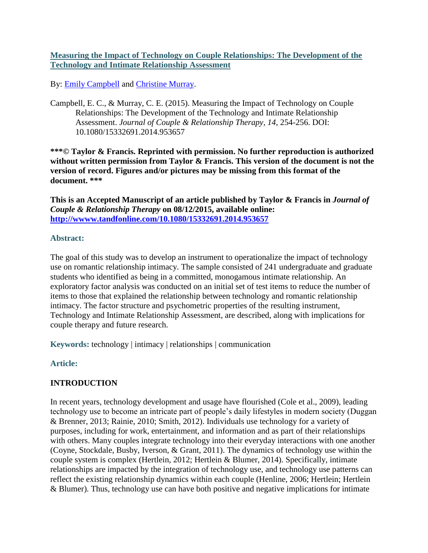#### **Measuring the Impact of Technology on Couple Relationships: The Development of the Technology and Intimate Relationship Assessment**

By: [Emily Campbell](http://libres.uncg.edu/ir/uncg/clist.aspx?id=9338) and [Christine Murray.](https://libres.uncg.edu/ir/uncg/clist.aspx?id=894)

Campbell, E. C., & Murray, C. E. (2015). Measuring the Impact of Technology on Couple Relationships: The Development of the Technology and Intimate Relationship Assessment. *Journal of Couple & Relationship Therapy, 14,* 254-256. DOI: 10.1080/15332691.2014.953657

**\*\*\*© Taylor & Francis. Reprinted with permission. No further reproduction is authorized without written permission from Taylor & Francis. This version of the document is not the version of record. Figures and/or pictures may be missing from this format of the document. \*\*\***

**This is an Accepted Manuscript of an article published by Taylor & Francis in** *Journal of Couple & Relationship Therapy* **on 08/12/2015, available online: <http://wwww.tandfonline.com/10.1080/15332691.2014.953657>**

#### **Abstract:**

The goal of this study was to develop an instrument to operationalize the impact of technology use on romantic relationship intimacy. The sample consisted of 241 undergraduate and graduate students who identified as being in a committed, monogamous intimate relationship. An exploratory factor analysis was conducted on an initial set of test items to reduce the number of items to those that explained the relationship between technology and romantic relationship intimacy. The factor structure and psychometric properties of the resulting instrument, Technology and Intimate Relationship Assessment, are described, along with implications for couple therapy and future research.

**Keywords:** technology | intimacy | relationships | communication

## **Article:**

## **INTRODUCTION**

In recent years, technology development and usage have flourished (Cole et al., 2009), leading technology use to become an intricate part of people's daily lifestyles in modern society (Duggan & Brenner, 2013; Rainie, 2010; Smith, 2012). Individuals use technology for a variety of purposes, including for work, entertainment, and information and as part of their relationships with others. Many couples integrate technology into their everyday interactions with one another (Coyne, Stockdale, Busby, Iverson, & Grant, 2011). The dynamics of technology use within the couple system is complex (Hertlein, 2012; Hertlein & Blumer, 2014). Specifically, intimate relationships are impacted by the integration of technology use, and technology use patterns can reflect the existing relationship dynamics within each couple (Henline, 2006; Hertlein; Hertlein & Blumer). Thus, technology use can have both positive and negative implications for intimate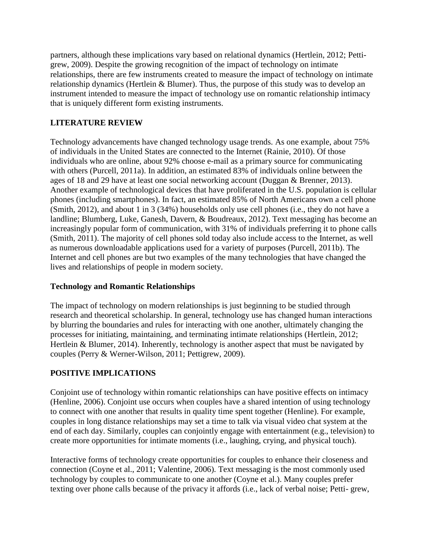partners, although these implications vary based on relational dynamics (Hertlein, 2012; Pettigrew, 2009). Despite the growing recognition of the impact of technology on intimate relationships, there are few instruments created to measure the impact of technology on intimate relationship dynamics (Hertlein & Blumer). Thus, the purpose of this study was to develop an instrument intended to measure the impact of technology use on romantic relationship intimacy that is uniquely different form existing instruments.

# **LITERATURE REVIEW**

Technology advancements have changed technology usage trends. As one example, about 75% of individuals in the United States are connected to the Internet (Rainie, 2010). Of those individuals who are online, about 92% choose e-mail as a primary source for communicating with others (Purcell, 2011a). In addition, an estimated 83% of individuals online between the ages of 18 and 29 have at least one social networking account (Duggan & Brenner, 2013). Another example of technological devices that have proliferated in the U.S. population is cellular phones (including smartphones). In fact, an estimated 85% of North Americans own a cell phone (Smith, 2012), and about 1 in 3 (34%) households only use cell phones (i.e., they do not have a landline; Blumberg, Luke, Ganesh, Davern, & Boudreaux, 2012). Text messaging has become an increasingly popular form of communication, with 31% of individuals preferring it to phone calls (Smith, 2011). The majority of cell phones sold today also include access to the Internet, as well as numerous downloadable applications used for a variety of purposes (Purcell, 2011b). The Internet and cell phones are but two examples of the many technologies that have changed the lives and relationships of people in modern society.

## **Technology and Romantic Relationships**

The impact of technology on modern relationships is just beginning to be studied through research and theoretical scholarship. In general, technology use has changed human interactions by blurring the boundaries and rules for interacting with one another, ultimately changing the processes for initiating, maintaining, and terminating intimate relationships (Hertlein, 2012; Hertlein & Blumer, 2014). Inherently, technology is another aspect that must be navigated by couples (Perry & Werner-Wilson, 2011; Pettigrew, 2009).

## **POSITIVE IMPLICATIONS**

Conjoint use of technology within romantic relationships can have positive effects on intimacy (Henline, 2006). Conjoint use occurs when couples have a shared intention of using technology to connect with one another that results in quality time spent together (Henline). For example, couples in long distance relationships may set a time to talk via visual video chat system at the end of each day. Similarly, couples can conjointly engage with entertainment (e.g., television) to create more opportunities for intimate moments (i.e., laughing, crying, and physical touch).

Interactive forms of technology create opportunities for couples to enhance their closeness and connection (Coyne et al., 2011; Valentine, 2006). Text messaging is the most commonly used technology by couples to communicate to one another (Coyne et al.). Many couples prefer texting over phone calls because of the privacy it affords (i.e., lack of verbal noise; Petti- grew,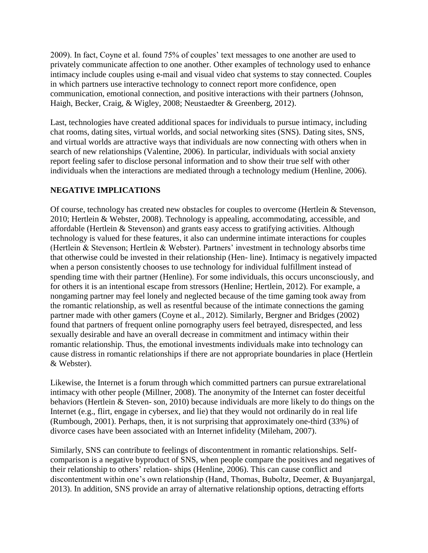2009). In fact, Coyne et al. found 75% of couples' text messages to one another are used to privately communicate affection to one another. Other examples of technology used to enhance intimacy include couples using e-mail and visual video chat systems to stay connected. Couples in which partners use interactive technology to connect report more confidence, open communication, emotional connection, and positive interactions with their partners (Johnson, Haigh, Becker, Craig, & Wigley, 2008; Neustaedter & Greenberg, 2012).

Last, technologies have created additional spaces for individuals to pursue intimacy, including chat rooms, dating sites, virtual worlds, and social networking sites (SNS). Dating sites, SNS, and virtual worlds are attractive ways that individuals are now connecting with others when in search of new relationships (Valentine, 2006). In particular, individuals with social anxiety report feeling safer to disclose personal information and to show their true self with other individuals when the interactions are mediated through a technology medium (Henline, 2006).

# **NEGATIVE IMPLICATIONS**

Of course, technology has created new obstacles for couples to overcome (Hertlein & Stevenson, 2010; Hertlein & Webster, 2008). Technology is appealing, accommodating, accessible, and affordable (Hertlein & Stevenson) and grants easy access to gratifying activities. Although technology is valued for these features, it also can undermine intimate interactions for couples (Hertlein & Stevenson; Hertlein & Webster). Partners' investment in technology absorbs time that otherwise could be invested in their relationship (Hen- line). Intimacy is negatively impacted when a person consistently chooses to use technology for individual fulfillment instead of spending time with their partner (Henline). For some individuals, this occurs unconsciously, and for others it is an intentional escape from stressors (Henline; Hertlein, 2012). For example, a nongaming partner may feel lonely and neglected because of the time gaming took away from the romantic relationship, as well as resentful because of the intimate connections the gaming partner made with other gamers (Coyne et al., 2012). Similarly, Bergner and Bridges (2002) found that partners of frequent online pornography users feel betrayed, disrespected, and less sexually desirable and have an overall decrease in commitment and intimacy within their romantic relationship. Thus, the emotional investments individuals make into technology can cause distress in romantic relationships if there are not appropriate boundaries in place (Hertlein & Webster).

Likewise, the Internet is a forum through which committed partners can pursue extrarelational intimacy with other people (Millner, 2008). The anonymity of the Internet can foster deceitful behaviors (Hertlein & Steven- son, 2010) because individuals are more likely to do things on the Internet (e.g., flirt, engage in cybersex, and lie) that they would not ordinarily do in real life (Rumbough, 2001). Perhaps, then, it is not surprising that approximately one-third (33%) of divorce cases have been associated with an Internet infidelity (Mileham, 2007).

Similarly, SNS can contribute to feelings of discontentment in romantic relationships. Selfcomparison is a negative byproduct of SNS, when people compare the positives and negatives of their relationship to others' relation- ships (Henline, 2006). This can cause conflict and discontentment within one's own relationship (Hand, Thomas, Buboltz, Deemer, & Buyanjargal, 2013). In addition, SNS provide an array of alternative relationship options, detracting efforts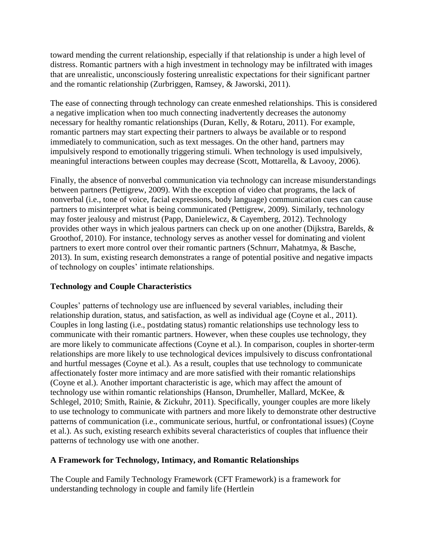toward mending the current relationship, especially if that relationship is under a high level of distress. Romantic partners with a high investment in technology may be infiltrated with images that are unrealistic, unconsciously fostering unrealistic expectations for their significant partner and the romantic relationship (Zurbriggen, Ramsey, & Jaworski, 2011).

The ease of connecting through technology can create enmeshed relationships. This is considered a negative implication when too much connecting inadvertently decreases the autonomy necessary for healthy romantic relationships (Duran, Kelly, & Rotaru, 2011). For example, romantic partners may start expecting their partners to always be available or to respond immediately to communication, such as text messages. On the other hand, partners may impulsively respond to emotionally triggering stimuli. When technology is used impulsively, meaningful interactions between couples may decrease (Scott, Mottarella, & Lavooy, 2006).

Finally, the absence of nonverbal communication via technology can increase misunderstandings between partners (Pettigrew, 2009). With the exception of video chat programs, the lack of nonverbal (i.e., tone of voice, facial expressions, body language) communication cues can cause partners to misinterpret what is being communicated (Pettigrew, 2009). Similarly, technology may foster jealousy and mistrust (Papp, Danielewicz, & Cayemberg, 2012). Technology provides other ways in which jealous partners can check up on one another (Dijkstra, Barelds, & Groothof, 2010). For instance, technology serves as another vessel for dominating and violent partners to exert more control over their romantic partners (Schnurr, Mahatmya, & Basche, 2013). In sum, existing research demonstrates a range of potential positive and negative impacts of technology on couples' intimate relationships.

## **Technology and Couple Characteristics**

Couples' patterns of technology use are influenced by several variables, including their relationship duration, status, and satisfaction, as well as individual age (Coyne et al., 2011). Couples in long lasting (i.e., postdating status) romantic relationships use technology less to communicate with their romantic partners. However, when these couples use technology, they are more likely to communicate affections (Coyne et al.). In comparison, couples in shorter-term relationships are more likely to use technological devices impulsively to discuss confrontational and hurtful messages (Coyne et al.). As a result, couples that use technology to communicate affectionately foster more intimacy and are more satisfied with their romantic relationships (Coyne et al.). Another important characteristic is age, which may affect the amount of technology use within romantic relationships (Hanson, Drumheller, Mallard, McKee, & Schlegel, 2010; Smith, Rainie, & Zickuhr, 2011). Specifically, younger couples are more likely to use technology to communicate with partners and more likely to demonstrate other destructive patterns of communication (i.e., communicate serious, hurtful, or confrontational issues) (Coyne et al.). As such, existing research exhibits several characteristics of couples that influence their patterns of technology use with one another.

## **A Framework for Technology, Intimacy, and Romantic Relationships**

The Couple and Family Technology Framework (CFT Framework) is a framework for understanding technology in couple and family life (Hertlein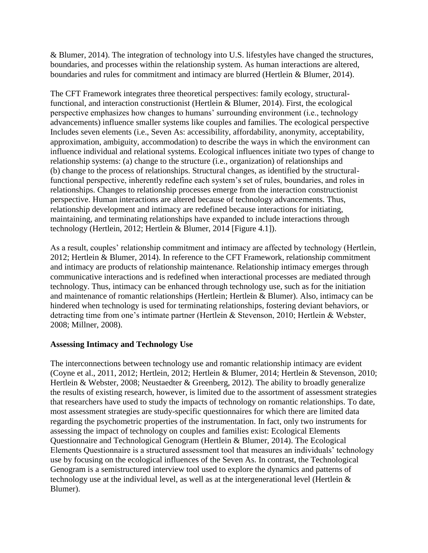& Blumer, 2014). The integration of technology into U.S. lifestyles have changed the structures, boundaries, and processes within the relationship system. As human interactions are altered, boundaries and rules for commitment and intimacy are blurred (Hertlein & Blumer, 2014).

The CFT Framework integrates three theoretical perspectives: family ecology, structuralfunctional, and interaction constructionist (Hertlein & Blumer, 2014). First, the ecological perspective emphasizes how changes to humans' surrounding environment (i.e., technology advancements) influence smaller systems like couples and families. The ecological perspective Includes seven elements (i.e., Seven As: accessibility, affordability, anonymity, acceptability, approximation, ambiguity, accommodation) to describe the ways in which the environment can influence individual and relational systems. Ecological influences initiate two types of change to relationship systems: (a) change to the structure (i.e., organization) of relationships and (b) change to the process of relationships. Structural changes, as identified by the structuralfunctional perspective, inherently redefine each system's set of rules, boundaries, and roles in relationships. Changes to relationship processes emerge from the interaction constructionist perspective. Human interactions are altered because of technology advancements. Thus, relationship development and intimacy are redefined because interactions for initiating, maintaining, and terminating relationships have expanded to include interactions through technology (Hertlein, 2012; Hertlein & Blumer, 2014 [Figure 4.1]).

As a result, couples' relationship commitment and intimacy are affected by technology (Hertlein, 2012; Hertlein & Blumer, 2014). In reference to the CFT Framework, relationship commitment and intimacy are products of relationship maintenance. Relationship intimacy emerges through communicative interactions and is redefined when interactional processes are mediated through technology. Thus, intimacy can be enhanced through technology use, such as for the initiation and maintenance of romantic relationships (Hertlein; Hertlein & Blumer). Also, intimacy can be hindered when technology is used for terminating relationships, fostering deviant behaviors, or detracting time from one's intimate partner (Hertlein & Stevenson, 2010; Hertlein & Webster, 2008; Millner, 2008).

## **Assessing Intimacy and Technology Use**

The interconnections between technology use and romantic relationship intimacy are evident (Coyne et al., 2011, 2012; Hertlein, 2012; Hertlein & Blumer, 2014; Hertlein & Stevenson, 2010; Hertlein & Webster, 2008; Neustaedter & Greenberg, 2012). The ability to broadly generalize the results of existing research, however, is limited due to the assortment of assessment strategies that researchers have used to study the impacts of technology on romantic relationships. To date, most assessment strategies are study-specific questionnaires for which there are limited data regarding the psychometric properties of the instrumentation. In fact, only two instruments for assessing the impact of technology on couples and families exist: Ecological Elements Questionnaire and Technological Genogram (Hertlein & Blumer, 2014). The Ecological Elements Questionnaire is a structured assessment tool that measures an individuals' technology use by focusing on the ecological influences of the Seven As. In contrast, the Technological Genogram is a semistructured interview tool used to explore the dynamics and patterns of technology use at the individual level, as well as at the intergenerational level (Hertlein & Blumer).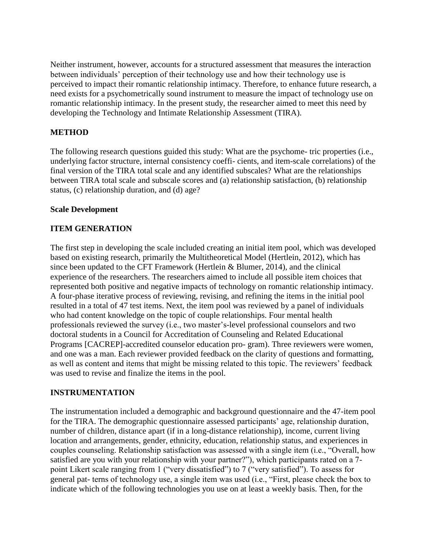Neither instrument, however, accounts for a structured assessment that measures the interaction between individuals' perception of their technology use and how their technology use is perceived to impact their romantic relationship intimacy. Therefore, to enhance future research, a need exists for a psychometrically sound instrument to measure the impact of technology use on romantic relationship intimacy. In the present study, the researcher aimed to meet this need by developing the Technology and Intimate Relationship Assessment (TIRA).

## **METHOD**

The following research questions guided this study: What are the psychome- tric properties (i.e., underlying factor structure, internal consistency coeffi- cients, and item-scale correlations) of the final version of the TIRA total scale and any identified subscales? What are the relationships between TIRA total scale and subscale scores and (a) relationship satisfaction, (b) relationship status, (c) relationship duration, and (d) age?

#### **Scale Development**

## **ITEM GENERATION**

The first step in developing the scale included creating an initial item pool, which was developed based on existing research, primarily the Multitheoretical Model (Hertlein, 2012), which has since been updated to the CFT Framework (Hertlein & Blumer, 2014), and the clinical experience of the researchers. The researchers aimed to include all possible item choices that represented both positive and negative impacts of technology on romantic relationship intimacy. A four-phase iterative process of reviewing, revising, and refining the items in the initial pool resulted in a total of 47 test items. Next, the item pool was reviewed by a panel of individuals who had content knowledge on the topic of couple relationships. Four mental health professionals reviewed the survey (i.e., two master's-level professional counselors and two doctoral students in a Council for Accreditation of Counseling and Related Educational Programs [CACREP]-accredited counselor education pro- gram). Three reviewers were women, and one was a man. Each reviewer provided feedback on the clarity of questions and formatting, as well as content and items that might be missing related to this topic. The reviewers' feedback was used to revise and finalize the items in the pool.

## **INSTRUMENTATION**

The instrumentation included a demographic and background questionnaire and the 47-item pool for the TIRA. The demographic questionnaire assessed participants' age, relationship duration, number of children, distance apart (if in a long-distance relationship), income, current living location and arrangements, gender, ethnicity, education, relationship status, and experiences in couples counseling. Relationship satisfaction was assessed with a single item (i.e., "Overall, how satisfied are you with your relationship with your partner?"), which participants rated on a 7 point Likert scale ranging from 1 ("very dissatisfied") to 7 ("very satisfied"). To assess for general pat- terns of technology use, a single item was used (i.e., "First, please check the box to indicate which of the following technologies you use on at least a weekly basis. Then, for the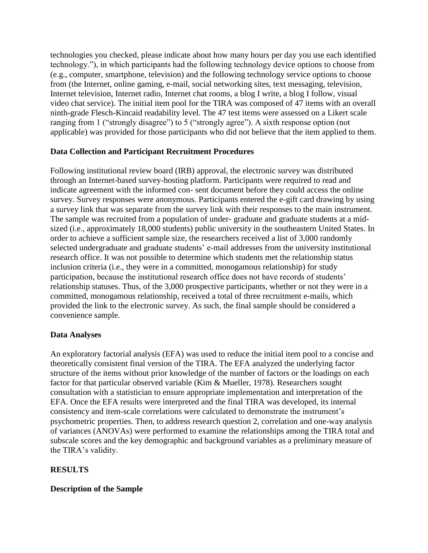technologies you checked, please indicate about how many hours per day you use each identified technology."), in which participants had the following technology device options to choose from (e.g., computer, smartphone, television) and the following technology service options to choose from (the Internet, online gaming, e-mail, social networking sites, text messaging, television, Internet television, Internet radio, Internet chat rooms, a blog I write, a blog I follow, visual video chat service). The initial item pool for the TIRA was composed of 47 items with an overall ninth-grade Flesch-Kincaid readability level. The 47 test items were assessed on a Likert scale ranging from 1 ("strongly disagree") to 5 ("strongly agree"). A sixth response option (not applicable) was provided for those participants who did not believe that the item applied to them.

#### **Data Collection and Participant Recruitment Procedures**

Following institutional review board (IRB) approval, the electronic survey was distributed through an Internet-based survey-hosting platform. Participants were required to read and indicate agreement with the informed con- sent document before they could access the online survey. Survey responses were anonymous. Participants entered the e-gift card drawing by using a survey link that was separate from the survey link with their responses to the main instrument. The sample was recruited from a population of under- graduate and graduate students at a midsized (i.e., approximately 18,000 students) public university in the southeastern United States. In order to achieve a sufficient sample size, the researchers received a list of 3,000 randomly selected undergraduate and graduate students' e-mail addresses from the university institutional research office. It was not possible to determine which students met the relationship status inclusion criteria (i.e., they were in a committed, monogamous relationship) for study participation, because the institutional research office does not have records of students' relationship statuses. Thus, of the 3,000 prospective participants, whether or not they were in a committed, monogamous relationship, received a total of three recruitment e-mails, which provided the link to the electronic survey. As such, the final sample should be considered a convenience sample.

#### **Data Analyses**

An exploratory factorial analysis (EFA) was used to reduce the initial item pool to a concise and theoretically consistent final version of the TIRA. The EFA analyzed the underlying factor structure of the items without prior knowledge of the number of factors or the loadings on each factor for that particular observed variable (Kim & Mueller, 1978). Researchers sought consultation with a statistician to ensure appropriate implementation and interpretation of the EFA. Once the EFA results were interpreted and the final TIRA was developed, its internal consistency and item-scale correlations were calculated to demonstrate the instrument's psychometric properties. Then, to address research question 2, correlation and one-way analysis of variances (ANOVAs) were performed to examine the relationships among the TIRA total and subscale scores and the key demographic and background variables as a preliminary measure of the TIRA's validity.

## **RESULTS**

#### **Description of the Sample**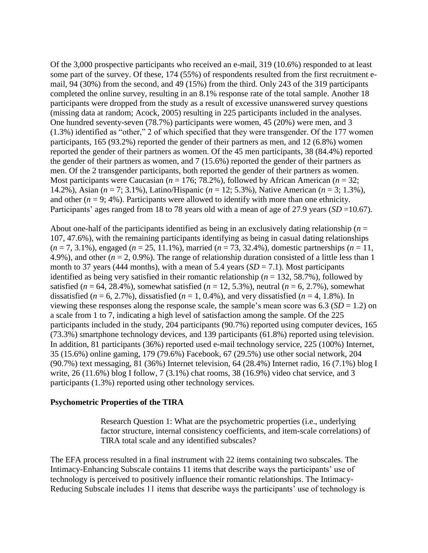Of the 3,000 prospective participants who received an e-mail, 319 (10.6%) responded to at least some part of the survey. Of these, 174 (55%) of respondents resulted from the first recruitment email, 94 (30%) from the second, and 49 (15%) from the third. Only 243 of the 319 participants completed the online survey, resulting in an 8.1% response rate of the total sample. Another 18 participants were dropped from the study as a result of excessive unanswered survey questions (missing data at random; Acock, 2005) resulting in 225 participants included in the analyses. One hundred seventy-seven (78.7%) participants were women, 45 (20%) were men, and 3 (1.3%) identified as "other," 2 of which specified that they were transgender. Of the 177 women participants, 165 (93.2%) reported the gender of their partners as men, and 12 (6.8%) women reported the gender of their partners as women. Of the 45 men participants, 38 (84.4%) reported the gender of their partners as women, and 7 (15.6%) reported the gender of their partners as men. Of the 2 transgender participants, both reported the gender of their partners as women. Most participants were Caucasian (*n* = 176; 78.2%), followed by African American (*n* = 32; 14.2%), Asian (*n* = 7; 3.1%), Latino/Hispanic (*n* = 12; 5.3%), Native American (*n* = 3; 1.3%), and other  $(n = 9, 4\%)$ . Participants were allowed to identify with more than one ethnicity. Participants' ages ranged from 18 to 78 years old with a mean of age of 27.9 years (*SD* = 10.67).

About one-half of the participants identified as being in an exclusively dating relationship (*n* = 107, 47.6%), with the remaining participants identifying as being in casual dating relationships (*n* = 7, 3.1%), engaged (*n* = 25, 11.1%), married (*n* = 73, 32.4%), domestic partnerships (*n* = 11, 4.9%), and other ( $n = 2$ , 0.9%). The range of relationship duration consisted of a little less than 1 month to 37 years (444 months), with a mean of  $5.4$  years ( $SD = 7.1$ ). Most participants identified as being very satisfied in their romantic relationship (*n* = 132, 58.7%), followed by satisfied ( $n = 64, 28.4\%$ ), somewhat satisfied ( $n = 12, 5.3\%$ ), neutral ( $n = 6, 2.7\%$ ), somewhat dissatisfied ( $n = 6, 2.7\%$ ), dissatisfied ( $n = 1, 0.4\%$ ), and very dissatisfied ( $n = 4, 1.8\%$ ). In viewing these responses along the response scale, the sample's mean score was  $6.3$  (*SD* = 1.2) on a scale from 1 to 7, indicating a high level of satisfaction among the sample. Of the 225 participants included in the study, 204 participants (90.7%) reported using computer devices, 165 (73.3%) smartphone technology devices, and 139 participants (61.8%) reported using television. In addition, 81 participants (36%) reported used e-mail technology service, 225 (100%) Internet, 35 (15.6%) online gaming, 179 (79.6%) Facebook, 67 (29.5%) use other social network, 204 (90.7%) text messaging, 81 (36%) Internet television, 64 (28.4%) Internet radio, 16 (7.1%) blog I write, 26 (11.6%) blog I follow, 7 (3.1%) chat rooms, 38 (16.9%) video chat service, and 3 participants (1.3%) reported using other technology services.

#### **Psychometric Properties of the TIRA**

Research Question 1: What are the psychometric properties (i.e., underlying factor structure, internal consistency coefficients, and item-scale correlations) of TIRA total scale and any identified subscales?

The EFA process resulted in a final instrument with 22 items containing two subscales. The Intimacy-Enhancing Subscale contains 11 items that describe ways the participants' use of technology is perceived to positively influence their romantic relationships. The Intimacy-Reducing Subscale includes 11 items that describe ways the participants' use of technology is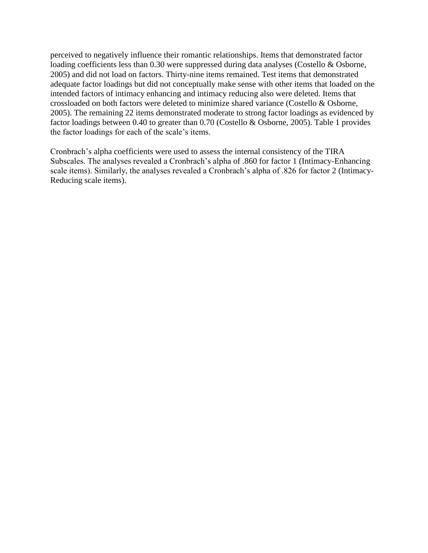perceived to negatively influence their romantic relationships. Items that demonstrated factor loading coefficients less than 0.30 were suppressed during data analyses (Costello & Osborne, 2005) and did not load on factors. Thirty-nine items remained. Test items that demonstrated adequate factor loadings but did not conceptually make sense with other items that loaded on the intended factors of intimacy enhancing and intimacy reducing also were deleted. Items that crossloaded on both factors were deleted to minimize shared variance (Costello & Osborne, 2005). The remaining 22 items demonstrated moderate to strong factor loadings as evidenced by factor loadings between 0.40 to greater than 0.70 (Costello & Osborne, 2005). Table 1 provides the factor loadings for each of the scale's items.

Cronbrach's alpha coefficients were used to assess the internal consistency of the TIRA Subscales. The analyses revealed a Cronbrach's alpha of .860 for factor 1 (Intimacy-Enhancing scale items). Similarly, the analyses revealed a Cronbrach's alpha of .826 for factor 2 (Intimacy-Reducing scale items).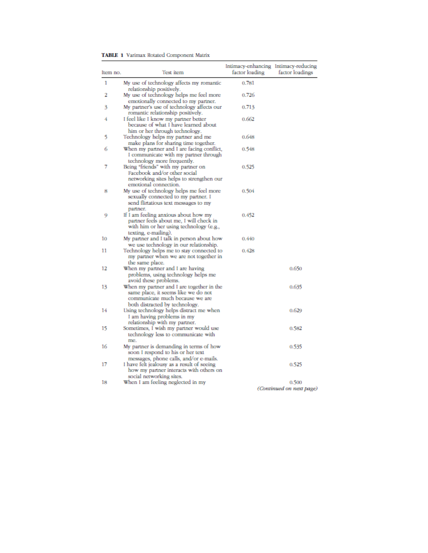|  |  |  | <b>TABLE 1 Varimax Rotated Component Matrix</b> |  |
|--|--|--|-------------------------------------------------|--|
|--|--|--|-------------------------------------------------|--|

| Item no. | Test item                                                                                                                                                   | Intimacy-enhancing Intimacy-reducing<br>factor loading | factor loadings                   |
|----------|-------------------------------------------------------------------------------------------------------------------------------------------------------------|--------------------------------------------------------|-----------------------------------|
| 1        | My use of technology affects my romantic<br>relationship positively.                                                                                        | 0.781                                                  |                                   |
| 2        | My use of technology helps me feel more<br>emotionally connected to my partner.                                                                             | 0.726                                                  |                                   |
| 3        | My partner's use of technology affects our<br>romantic relationship positively.                                                                             | 0.713                                                  |                                   |
|          | I feel like I know my partner better<br>because of what I have learned about<br>him or her through technology.                                              | 0.662                                                  |                                   |
| 5        | Technology helps my partner and me<br>make plans for sharing time together.                                                                                 | 0.648                                                  |                                   |
| 6        | When my partner and I are facing conflict,<br>I communicate with my partner through<br>technology more frequently.                                          | 0.548                                                  |                                   |
| 7        | Being "friends" with my partner on<br>Facebook and/or other social<br>networking sites helps to strengthen our<br>emotional connection.                     | 0.525                                                  |                                   |
| x        | My use of technology helps me feel more<br>sexually connected to my partner. I<br>send flirtatious text messages to my<br>partner.                          | 0.504                                                  |                                   |
| 9        | If I am feeling anxious about how my<br>partner feels about me, I will check in<br>with him or her using technology (e.g.,<br>texting, e-mailing).          | 0.452                                                  |                                   |
| 10       | My partner and I talk in person about how<br>we use technology in our relationship.                                                                         | 0.440                                                  |                                   |
| 11       | Technology helps me to stay connected to<br>my partner when we are not together in<br>the same place.                                                       | 0.428                                                  |                                   |
| 12       | When my partner and I are having<br>problems, using technology helps me<br>avoid these problems.                                                            |                                                        | 0.650                             |
| 13       | When my partner and I are together in the<br>same place, it seems like we do not<br>communicate much because we are<br>both distracted by technology.       |                                                        | 0.635                             |
| 14       | Using technology helps distract me when<br>I am having problems in my<br>relationship with my partner.                                                      |                                                        | 0.629                             |
| 15       | Sometimes, I wish my partner would use<br>technology less to communicate with<br>me.                                                                        |                                                        | 0.582                             |
| 16       | My partner is demanding in terms of how<br>soon I respond to his or her text                                                                                |                                                        | 0.535                             |
| 17       | messages, phone calls, and/or e-mails.<br>I have felt jealousy as a result of seeing<br>how my partner interacts with others on<br>social networking sites. |                                                        | 0.525                             |
| 18       | When I am feeling neglected in my                                                                                                                           |                                                        | 0.500<br>(Continued on next page) |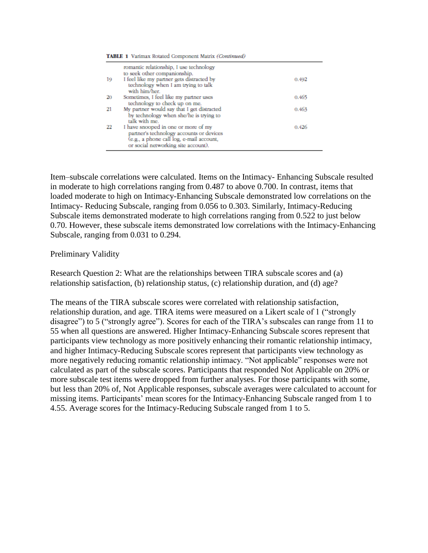|  |  |  |  |  |  | <b>TABLE 1</b> Varimax Rotated Component Matrix (Continued) |
|--|--|--|--|--|--|-------------------------------------------------------------|
|--|--|--|--|--|--|-------------------------------------------------------------|

|    | romantic relationship, I use technology<br>to seek other companionship.                                                                                            |       |
|----|--------------------------------------------------------------------------------------------------------------------------------------------------------------------|-------|
| 19 | I feel like my partner gets distracted by<br>technology when I am trying to talk<br>with him/her.                                                                  | 0.492 |
| 20 | Sometimes, I feel like my partner uses<br>technology to check up on me.                                                                                            | 0.465 |
| 21 | My partner would say that I get distracted<br>by technology when she/he is trying to<br>talk with me.                                                              | 0.463 |
| 22 | I have snooped in one or more of my<br>partner's technology accounts or devices<br>(e.g., a phone call log, e-mail account,<br>or social networking site account). | 0.426 |

Item–subscale correlations were calculated. Items on the Intimacy- Enhancing Subscale resulted in moderate to high correlations ranging from 0.487 to above 0.700. In contrast, items that loaded moderate to high on Intimacy-Enhancing Subscale demonstrated low correlations on the Intimacy- Reducing Subscale, ranging from 0.056 to 0.303. Similarly, Intimacy-Reducing Subscale items demonstrated moderate to high correlations ranging from 0.522 to just below 0.70. However, these subscale items demonstrated low correlations with the Intimacy-Enhancing Subscale, ranging from 0.031 to 0.294.

#### Preliminary Validity

Research Question 2: What are the relationships between TIRA subscale scores and (a) relationship satisfaction, (b) relationship status, (c) relationship duration, and (d) age?

The means of the TIRA subscale scores were correlated with relationship satisfaction, relationship duration, and age. TIRA items were measured on a Likert scale of 1 ("strongly disagree") to 5 ("strongly agree"). Scores for each of the TIRA's subscales can range from 11 to 55 when all questions are answered. Higher Intimacy-Enhancing Subscale scores represent that participants view technology as more positively enhancing their romantic relationship intimacy, and higher Intimacy-Reducing Subscale scores represent that participants view technology as more negatively reducing romantic relationship intimacy. "Not applicable" responses were not calculated as part of the subscale scores. Participants that responded Not Applicable on 20% or more subscale test items were dropped from further analyses. For those participants with some, but less than 20% of, Not Applicable responses, subscale averages were calculated to account for missing items. Participants' mean scores for the Intimacy-Enhancing Subscale ranged from 1 to 4.55. Average scores for the Intimacy-Reducing Subscale ranged from 1 to 5.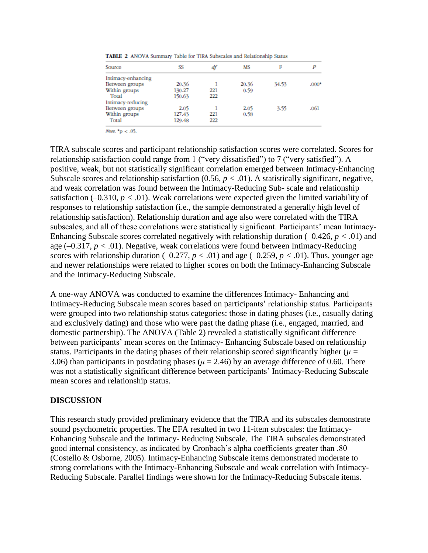| Source             | SS     | df  | <b>MS</b> | F     |         |
|--------------------|--------|-----|-----------|-------|---------|
| Intimacy-enhancing |        |     |           |       |         |
| Between groups     | 20.36  |     | 20.36     | 34.53 | $.000*$ |
| Within groups      | 130.27 | 221 | 0.59      |       |         |
| Total              | 150.63 | 222 |           |       |         |
| Intimacy-reducing  |        |     |           |       |         |
| Between groups     | 2.05   |     | 2.05      | 3.55  | .061    |
| Within groups      | 127.43 | 221 | 0.58      |       |         |
| Total              | 129.48 | 222 |           |       |         |

TABLE 2 ANOVA Summary Table for TIRA Subscales and Relationship Status

Note,  ${}^4p$  < .05.

TIRA subscale scores and participant relationship satisfaction scores were correlated. Scores for relationship satisfaction could range from 1 ("very dissatisfied") to 7 ("very satisfied"). A positive, weak, but not statistically significant correlation emerged between Intimacy-Enhancing Subscale scores and relationship satisfaction  $(0.56, p < .01)$ . A statistically significant, negative, and weak correlation was found between the Intimacy-Reducing Sub- scale and relationship satisfaction  $(-0.310, p < .01)$ . Weak correlations were expected given the limited variability of responses to relationship satisfaction (i.e., the sample demonstrated a generally high level of relationship satisfaction). Relationship duration and age also were correlated with the TIRA subscales, and all of these correlations were statistically significant. Participants' mean Intimacy-Enhancing Subscale scores correlated negatively with relationship duration  $(-0.426, p < .01)$  and age  $(-0.317, p < .01)$ . Negative, weak correlations were found between Intimacy-Reducing scores with relationship duration  $(-0.277, p < .01)$  and age  $(-0.259, p < .01)$ . Thus, younger age and newer relationships were related to higher scores on both the Intimacy-Enhancing Subscale and the Intimacy-Reducing Subscale.

A one-way ANOVA was conducted to examine the differences Intimacy- Enhancing and Intimacy-Reducing Subscale mean scores based on participants' relationship status. Participants were grouped into two relationship status categories: those in dating phases (i.e., casually dating and exclusively dating) and those who were past the dating phase (i.e., engaged, married, and domestic partnership). The ANOVA (Table 2) revealed a statistically significant difference between participants' mean scores on the Intimacy- Enhancing Subscale based on relationship status. Participants in the dating phases of their relationship scored significantly higher ( $\mu$  = 3.06) than participants in postdating phases ( $\mu$  = 2.46) by an average difference of 0.60. There was not a statistically significant difference between participants' Intimacy-Reducing Subscale mean scores and relationship status.

#### **DISCUSSION**

This research study provided preliminary evidence that the TIRA and its subscales demonstrate sound psychometric properties. The EFA resulted in two 11-item subscales: the Intimacy-Enhancing Subscale and the Intimacy- Reducing Subscale. The TIRA subscales demonstrated good internal consistency, as indicated by Cronbach's alpha coefficients greater than .80 (Costello & Osborne, 2005). Intimacy-Enhancing Subscale items demonstrated moderate to strong correlations with the Intimacy-Enhancing Subscale and weak correlation with Intimacy-Reducing Subscale. Parallel findings were shown for the Intimacy-Reducing Subscale items.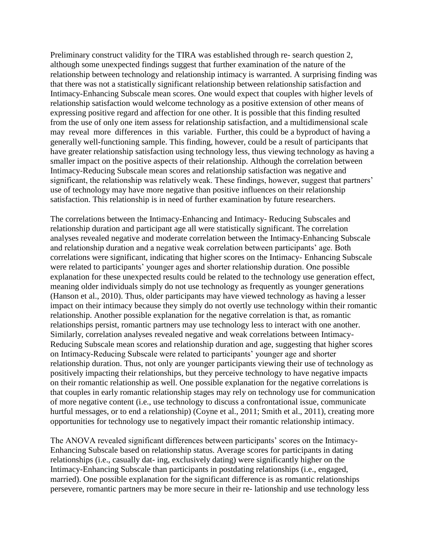Preliminary construct validity for the TIRA was established through re- search question 2, although some unexpected findings suggest that further examination of the nature of the relationship between technology and relationship intimacy is warranted. A surprising finding was that there was not a statistically significant relationship between relationship satisfaction and Intimacy-Enhancing Subscale mean scores. One would expect that couples with higher levels of relationship satisfaction would welcome technology as a positive extension of other means of expressing positive regard and affection for one other. It is possible that this finding resulted from the use of only one item assess for relationship satisfaction, and a multidimensional scale may reveal more differences in this variable. Further, this could be a byproduct of having a generally well-functioning sample. This finding, however, could be a result of participants that have greater relationship satisfaction using technology less, thus viewing technology as having a smaller impact on the positive aspects of their relationship. Although the correlation between Intimacy-Reducing Subscale mean scores and relationship satisfaction was negative and significant, the relationship was relatively weak. These findings, however, suggest that partners' use of technology may have more negative than positive influences on their relationship satisfaction. This relationship is in need of further examination by future researchers.

The correlations between the Intimacy-Enhancing and Intimacy- Reducing Subscales and relationship duration and participant age all were statistically significant. The correlation analyses revealed negative and moderate correlation between the Intimacy-Enhancing Subscale and relationship duration and a negative weak correlation between participants' age. Both correlations were significant, indicating that higher scores on the Intimacy- Enhancing Subscale were related to participants' younger ages and shorter relationship duration. One possible explanation for these unexpected results could be related to the technology use generation effect, meaning older individuals simply do not use technology as frequently as younger generations (Hanson et al., 2010). Thus, older participants may have viewed technology as having a lesser impact on their intimacy because they simply do not overtly use technology within their romantic relationship. Another possible explanation for the negative correlation is that, as romantic relationships persist, romantic partners may use technology less to interact with one another. Similarly, correlation analyses revealed negative and weak correlations between Intimacy-Reducing Subscale mean scores and relationship duration and age, suggesting that higher scores on Intimacy-Reducing Subscale were related to participants' younger age and shorter relationship duration. Thus, not only are younger participants viewing their use of technology as positively impacting their relationships, but they perceive technology to have negative impacts on their romantic relationship as well. One possible explanation for the negative correlations is that couples in early romantic relationship stages may rely on technology use for communication of more negative content (i.e., use technology to discuss a confrontational issue, communicate hurtful messages, or to end a relationship) (Coyne et al., 2011; Smith et al., 2011), creating more opportunities for technology use to negatively impact their romantic relationship intimacy.

The ANOVA revealed significant differences between participants' scores on the Intimacy-Enhancing Subscale based on relationship status. Average scores for participants in dating relationships (i.e., casually dat- ing, exclusively dating) were significantly higher on the Intimacy-Enhancing Subscale than participants in postdating relationships (i.e., engaged, married). One possible explanation for the significant difference is as romantic relationships persevere, romantic partners may be more secure in their re- lationship and use technology less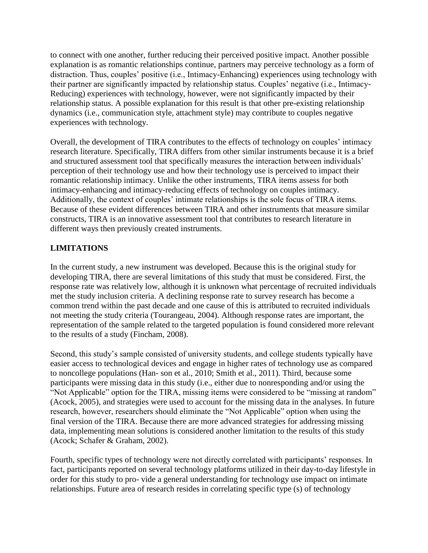to connect with one another, further reducing their perceived positive impact. Another possible explanation is as romantic relationships continue, partners may perceive technology as a form of distraction. Thus, couples' positive (i.e., Intimacy-Enhancing) experiences using technology with their partner are significantly impacted by relationship status. Couples' negative (i.e., Intimacy-Reducing) experiences with technology, however, were not significantly impacted by their relationship status. A possible explanation for this result is that other pre-existing relationship dynamics (i.e., communication style, attachment style) may contribute to couples negative experiences with technology.

Overall, the development of TIRA contributes to the effects of technology on couples' intimacy research literature. Specifically, TIRA differs from other similar instruments because it is a brief and structured assessment tool that specifically measures the interaction between individuals' perception of their technology use and how their technology use is perceived to impact their romantic relationship intimacy. Unlike the other instruments, TIRA items assess for both intimacy-enhancing and intimacy-reducing effects of technology on couples intimacy. Additionally, the context of couples' intimate relationships is the sole focus of TIRA items. Because of these evident differences between TIRA and other instruments that measure similar constructs, TIRA is an innovative assessment tool that contributes to research literature in different ways then previously created instruments.

# **LIMITATIONS**

In the current study, a new instrument was developed. Because this is the original study for developing TIRA, there are several limitations of this study that must be considered. First, the response rate was relatively low, although it is unknown what percentage of recruited individuals met the study inclusion criteria. A declining response rate to survey research has become a common trend within the past decade and one cause of this is attributed to recruited individuals not meeting the study criteria (Tourangeau, 2004). Although response rates are important, the representation of the sample related to the targeted population is found considered more relevant to the results of a study (Fincham, 2008).

Second, this study's sample consisted of university students, and college students typically have easier access to technological devices and engage in higher rates of technology use as compared to noncollege populations (Han- son et al., 2010; Smith et al., 2011). Third, because some participants were missing data in this study (i.e., either due to nonresponding and/or using the "Not Applicable" option for the TIRA, missing items were considered to be "missing at random" (Acock, 2005), and strategies were used to account for the missing data in the analyses. In future research, however, researchers should eliminate the "Not Applicable" option when using the final version of the TIRA. Because there are more advanced strategies for addressing missing data, implementing mean solutions is considered another limitation to the results of this study (Acock; Schafer & Graham, 2002).

Fourth, specific types of technology were not directly correlated with participants' responses. In fact, participants reported on several technology platforms utilized in their day-to-day lifestyle in order for this study to pro- vide a general understanding for technology use impact on intimate relationships. Future area of research resides in correlating specific type (s) of technology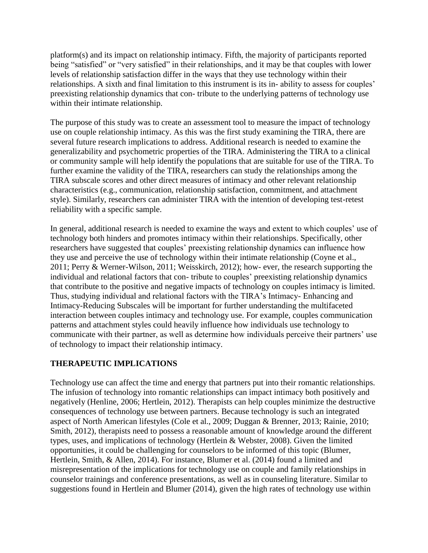platform(s) and its impact on relationship intimacy. Fifth, the majority of participants reported being "satisfied" or "very satisfied" in their relationships, and it may be that couples with lower levels of relationship satisfaction differ in the ways that they use technology within their relationships. A sixth and final limitation to this instrument is its in- ability to assess for couples' preexisting relationship dynamics that con- tribute to the underlying patterns of technology use within their intimate relationship.

The purpose of this study was to create an assessment tool to measure the impact of technology use on couple relationship intimacy. As this was the first study examining the TIRA, there are several future research implications to address. Additional research is needed to examine the generalizability and psychometric properties of the TIRA. Administering the TIRA to a clinical or community sample will help identify the populations that are suitable for use of the TIRA. To further examine the validity of the TIRA, researchers can study the relationships among the TIRA subscale scores and other direct measures of intimacy and other relevant relationship characteristics (e.g., communication, relationship satisfaction, commitment, and attachment style). Similarly, researchers can administer TIRA with the intention of developing test-retest reliability with a specific sample.

In general, additional research is needed to examine the ways and extent to which couples' use of technology both hinders and promotes intimacy within their relationships. Specifically, other researchers have suggested that couples' preexisting relationship dynamics can influence how they use and perceive the use of technology within their intimate relationship (Coyne et al., 2011; Perry & Werner-Wilson, 2011; Weisskirch, 2012); how- ever, the research supporting the individual and relational factors that con- tribute to couples' preexisting relationship dynamics that contribute to the positive and negative impacts of technology on couples intimacy is limited. Thus, studying individual and relational factors with the TIRA's Intimacy- Enhancing and Intimacy-Reducing Subscales will be important for further understanding the multifaceted interaction between couples intimacy and technology use. For example, couples communication patterns and attachment styles could heavily influence how individuals use technology to communicate with their partner, as well as determine how individuals perceive their partners' use of technology to impact their relationship intimacy.

## **THERAPEUTIC IMPLICATIONS**

Technology use can affect the time and energy that partners put into their romantic relationships. The infusion of technology into romantic relationships can impact intimacy both positively and negatively (Henline, 2006; Hertlein, 2012). Therapists can help couples minimize the destructive consequences of technology use between partners. Because technology is such an integrated aspect of North American lifestyles (Cole et al., 2009; Duggan & Brenner, 2013; Rainie, 2010; Smith, 2012), therapists need to possess a reasonable amount of knowledge around the different types, uses, and implications of technology (Hertlein & Webster, 2008). Given the limited opportunities, it could be challenging for counselors to be informed of this topic (Blumer, Hertlein, Smith, & Allen, 2014). For instance, Blumer et al. (2014) found a limited and misrepresentation of the implications for technology use on couple and family relationships in counselor trainings and conference presentations, as well as in counseling literature. Similar to suggestions found in Hertlein and Blumer (2014), given the high rates of technology use within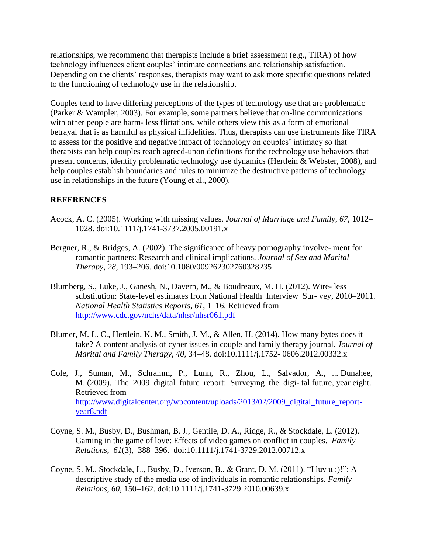relationships, we recommend that therapists include a brief assessment (e.g., TIRA) of how technology influences client couples' intimate connections and relationship satisfaction. Depending on the clients' responses, therapists may want to ask more specific questions related to the functioning of technology use in the relationship.

Couples tend to have differing perceptions of the types of technology use that are problematic (Parker & Wampler, 2003). For example, some partners believe that on-line communications with other people are harm- less flirtations, while others view this as a form of emotional betrayal that is as harmful as physical infidelities. Thus, therapists can use instruments like TIRA to assess for the positive and negative impact of technology on couples' intimacy so that therapists can help couples reach agreed-upon definitions for the technology use behaviors that present concerns, identify problematic technology use dynamics (Hertlein & Webster, 2008), and help couples establish boundaries and rules to minimize the destructive patterns of technology use in relationships in the future (Young et al., 2000).

#### **REFERENCES**

- Acock, A. C. (2005). Working with missing values. *Journal of Marriage and Family*, *67*, 1012– 1028. doi:10.1111/j.1741-3737.2005.00191.x
- Bergner, R., & Bridges, A. (2002). The significance of heavy pornography involve- ment for romantic partners: Research and clinical implications. *Journal of Sex and Marital Therapy*, *28*, 193–206. doi:10.1080/009262302760328235
- Blumberg, S., Luke, J., Ganesh, N., Davern, M., & Boudreaux, M. H. (2012). Wire- less substitution: State-level estimates from National Health Interview Sur- vey, 2010–2011. *National Health Statistics Reports*, *61*, 1–16. Retrieved from <http://www.cdc.gov/nchs/data/nhsr/nhsr061.pdf>
- Blumer, M. L. C., Hertlein, K. M., Smith, J. M., & Allen, H. (2014). How many bytes does it take? A content analysis of cyber issues in couple and family therapy journal. *Journal of Marital and Family Therapy*, *40*, 34–48. doi:10.1111/j.1752- 0606.2012.00332.x
- Cole, J., Suman, M., Schramm, P., Lunn, R., Zhou, L., Salvador, A., *...* Dunahee, M. (2009). The 2009 digital future report: Surveying the digi- tal future, year eight. Retrieved from [http://www.digitalcenter.org/wpcontent/uploads/2013/02/2009\\_digital\\_future\\_report](http://www.digitalcenter.org/wpcontent/uploads/2013/02/2009_digital_future_report-year8.pdf)[year8.pdf](http://www.digitalcenter.org/wpcontent/uploads/2013/02/2009_digital_future_report-year8.pdf)
- Coyne, S. M., Busby, D., Bushman, B. J., Gentile, D. A., Ridge, R., & Stockdale, L. (2012). Gaming in the game of love: Effects of video games on conflict in couples. *Family Relations*, *61*(3), 388–396. doi:10.1111/j.1741-3729.2012.00712.x
- Coyne, S. M., Stockdale, L., Busby, D., Iverson, B., & Grant, D. M. (2011). "I luv u :)!": A descriptive study of the media use of individuals in romantic relationships. *Family Relations*, *60*, 150–162. doi:10.1111/j.1741-3729.2010.00639.x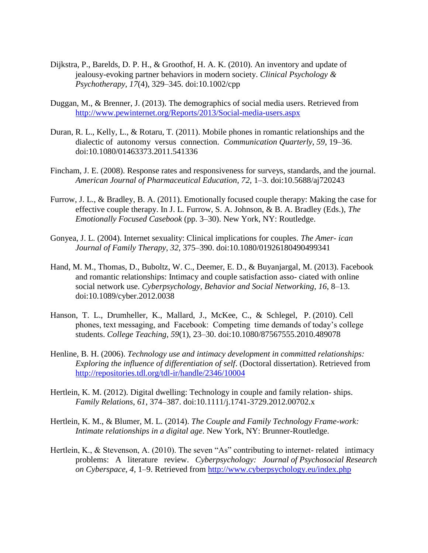- Dijkstra, P., Barelds, D. P. H., & Groothof, H. A. K. (2010). An inventory and update of jealousy-evoking partner behaviors in modern society. *Clinical Psychology & Psychotherapy*, *17*(4), 329–345. doi:10.1002/cpp
- Duggan, M., & Brenner, J. (2013). The demographics of social media users. Retrieved from <http://www.pewinternet.org/Reports/2013/Social-media-users.aspx>
- Duran, R. L., Kelly, L., & Rotaru, T. (2011). Mobile phones in romantic relationships and the dialectic of autonomy versus connection. *Communication Quarterly*, *59*, 19–36. doi:10.1080/01463373.2011.541336
- Fincham, J. E. (2008). Response rates and responsiveness for surveys, standards, and the journal. *American Journal of Pharmaceutical Education*, *72*, 1–3. doi:10.5688/aj720243
- Furrow, J. L., & Bradley, B. A. (2011). Emotionally focused couple therapy: Making the case for effective couple therapy. In J. L. Furrow, S. A. Johnson, & B. A. Bradley (Eds.), *The Emotionally Focused Casebook* (pp. 3–30). New York, NY: Routledge.
- Gonyea, J. L. (2004). Internet sexuality: Clinical implications for couples. *The Amer- ican Journal of Family Therapy*, *32*, 375–390. doi:10.1080/01926180490499341
- Hand, M. M., Thomas, D., Buboltz, W. C., Deemer, E. D., & Buyanjargal, M. (2013). Facebook and romantic relationships: Intimacy and couple satisfaction asso- ciated with online social network use. *Cyberpsychology, Behavior and Social Networking*, *16*, 8–13. doi:10.1089/cyber.2012.0038
- Hanson, T. L., Drumheller, K., Mallard, J., McKee, C., & Schlegel, P. (2010). Cell phones, text messaging, and Facebook: Competing time demands of today's college students. *College Teaching*, *59*(1), 23–30. doi:10.1080/87567555.2010.489078
- Henline, B. H. (2006). *Technology use and intimacy development in committed relationships: Exploring the influence of differentiation of self*. (Doctoral dissertation). Retrieved from <http://repositories.tdl.org/tdl-ir/handle/2346/10004>
- Hertlein, K. M. (2012). Digital dwelling: Technology in couple and family relation- ships. *Family Relations*, *61*, 374–387. doi:10.1111/j.1741-3729.2012.00702.x
- Hertlein, K. M., & Blumer, M. L. (2014). *The Couple and Family Technology Frame-work: Intimate relationships in a digital age*. New York, NY: Brunner-Routledge.
- Hertlein, K., & Stevenson, A. (2010). The seven "As" contributing to internet- related intimacy problems: A literature review. *Cyberpsychology: Journal of Psychosocial Research on Cyberspace*, *4*, 1–9. Retrieved from<http://www.cyberpsychology.eu/index.php>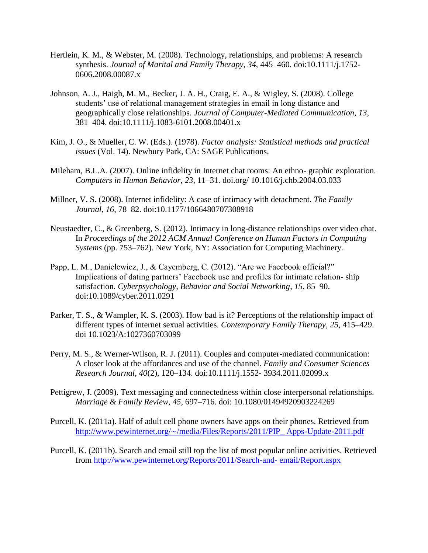- Hertlein, K. M., & Webster, M. (2008). Technology, relationships, and problems: A research synthesis. *Journal of Marital and Family Therapy*, *34*, 445–460. doi:10.1111/j.1752- 0606.2008.00087.x
- Johnson, A. J., Haigh, M. M., Becker, J. A. H., Craig, E. A., & Wigley, S. (2008). College students' use of relational management strategies in email in long distance and geographically close relationships. *Journal of Computer-Mediated Communication*, *13*, 381–404. doi:10.1111/j.1083-6101.2008.00401.x
- Kim, J. O., & Mueller, C. W. (Eds.). (1978). *Factor analysis: Statistical methods and practical issues* (Vol. 14). Newbury Park, CA: SAGE Publications.
- Mileham, B.L.A. (2007). Online infidelity in Internet chat rooms: An ethno- graphic exploration. *Computers in Human Behavior*, *23*, 11–31. doi.org/ 10.1016/j.chb.2004.03.033
- Millner, V. S. (2008). Internet infidelity: A case of intimacy with detachment. *The Family Journal*, *16*, 78–82. doi:10.1177/1066480707308918
- Neustaedter, C., & Greenberg, S. (2012). Intimacy in long-distance relationships over video chat. In *Proceedings of the 2012 ACM Annual Conference on Human Factors in Computing Systems* (pp. 753–762). New York, NY: Association for Computing Machinery.
- Papp, L. M., Danielewicz, J., & Cayemberg, C. (2012). "Are we Facebook official?" Implications of dating partners' Facebook use and profiles for intimate relation- ship satisfaction. *Cyberpsychology, Behavior and Social Networking*, *15*, 85–90. doi:10.1089/cyber.2011.0291
- Parker, T. S., & Wampler, K. S. (2003). How bad is it? Perceptions of the relationship impact of different types of internet sexual activities. *Contemporary Family Therapy*, *25*, 415–429. doi 10.1023/A:1027360703099
- Perry, M. S., & Werner-Wilson, R. J. (2011). Couples and computer-mediated communication: A closer look at the affordances and use of the channel. *Family and Consumer Sciences Research Journal*, *40*(2), 120–134. doi:10.1111/j.1552- 3934.2011.02099.x
- Pettigrew, J. (2009). Text messaging and connectedness within close interpersonal relationships. *Marriage & Family Review*, *45*, 697–716. doi: 10.1080/01494920903224269
- Purcell, K. (2011a). Half of adult cell phone owners have apps on their phones. Retrieved from http://www.pewinternet.org/∼[/media/Files/Reports/2011/PIP\\_ Apps-Update-2011.pdf](http://www.pewinternet.org/∼/media/Files/Reports/2011/PIP_%20Apps-Update-2011.pdf)
- Purcell, K. (2011b). Search and email still top the list of most popular online activities. Retrieved from [http://www.pewinternet.org/Reports/2011/Search-and-](http://www.pewinternet.org/Reports/2011/Search-and-%20email/Report.aspx) email/Report.aspx